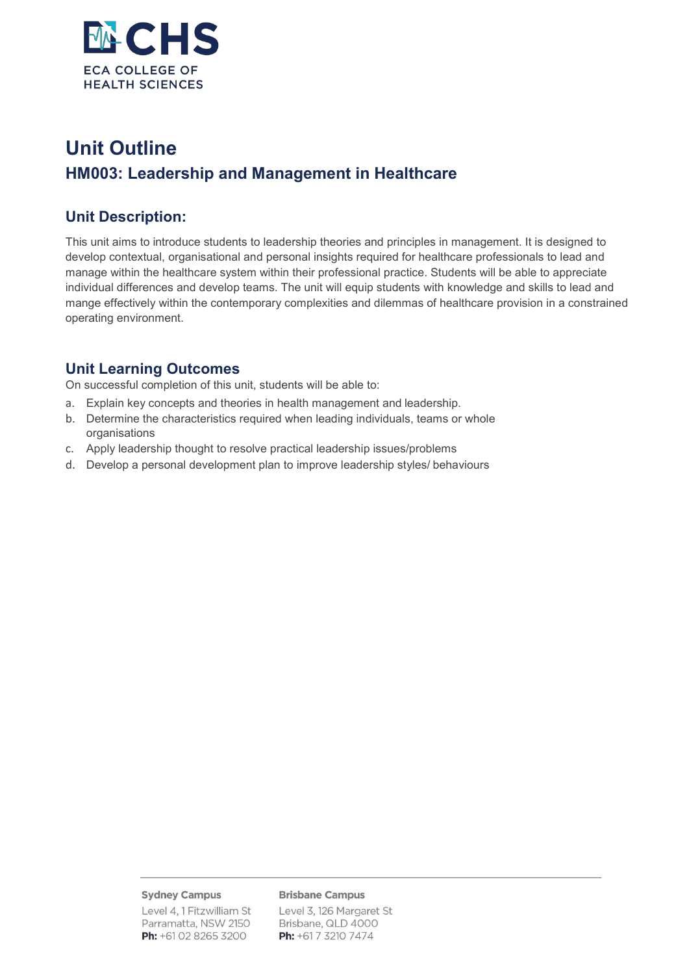

# **Unit Outline HM003: Leadership and Management in Healthcare**

### **Unit Description:**

This unit aims to introduce students to leadership theories and principles in management. It is designed to develop contextual, organisational and personal insights required for healthcare professionals to lead and manage within the healthcare system within their professional practice. Students will be able to appreciate individual differences and develop teams. The unit will equip students with knowledge and skills to lead and mange effectively within the contemporary complexities and dilemmas of healthcare provision in a constrained operating environment.

### **Unit Learning Outcomes**

On successful completion of this unit, students will be able to:

- a. Explain key concepts and theories in health management and leadership.
- b. Determine the characteristics required when leading individuals, teams or whole organisations
- c. Apply leadership thought to resolve practical leadership issues/problems
- d. Develop a personal development plan to improve leadership styles/ behaviours

#### **Sydney Campus**

Level 4, 1 Fitzwilliam St Parramatta, NSW 2150 Ph: +61 02 8265 3200

#### **Brisbane Campus**

Level 3, 126 Margaret St Brisbane, QLD 4000 Ph: +61 7 3210 7474